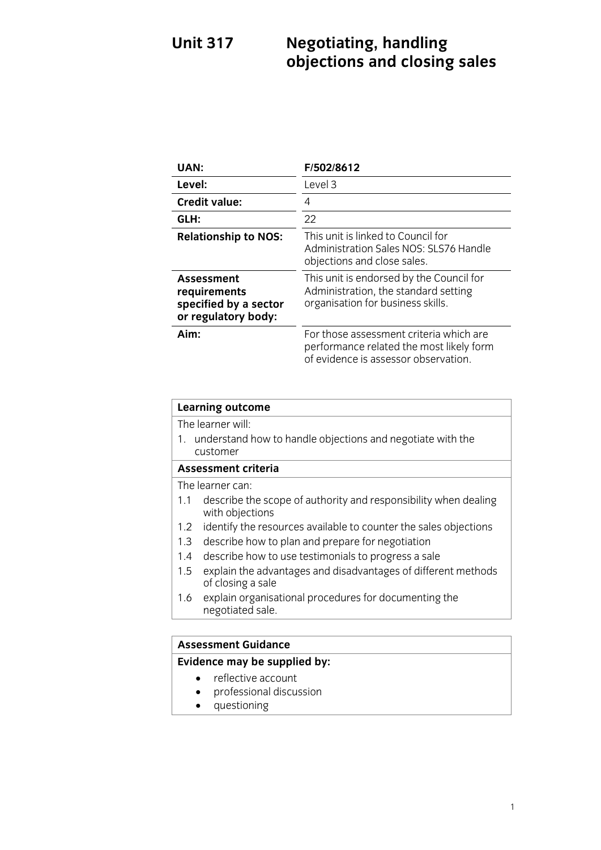### **Unit 317 Unit 317 Negotiations** and closing **objections and closing sales**

| UAN:                                                                       | F/502/8612                                                                                                                  |
|----------------------------------------------------------------------------|-----------------------------------------------------------------------------------------------------------------------------|
| Level:                                                                     | Level 3                                                                                                                     |
| <b>Credit value:</b>                                                       | 4                                                                                                                           |
| GLH:                                                                       | 22                                                                                                                          |
| <b>Relationship to NOS:</b>                                                | This unit is linked to Council for<br>Administration Sales NOS: SLS76 Handle<br>objections and close sales.                 |
| Assessment<br>requirements<br>specified by a sector<br>or regulatory body: | This unit is endorsed by the Council for<br>Administration, the standard setting<br>organisation for business skills.       |
| Aim:                                                                       | For those assessment criteria which are<br>performance related the most likely form<br>of evidence is assessor observation. |

## **Learning outcome**<br>The learner will:

1. understand how to handle objections and negotiate with the customer

### Assessment criteria

The learner can:

- 1.1 describe the scope of authority and responsibility when dealing with objections
- 1.2 identify the resources available to counter the sales objections
- 1.3 describe how to plan and prepare for negotiation
- 1.4 describe how to use testimonials to progress a sale
- 1.5 explain the advantages and disadvantages of different methods of closing a sale
- explain organisational procedures for documenting the  $1.6$  explained  $1.6$  explain the document of  $\frac{1}{6}$  $\overline{a}$

# **Assessment Guidance**

- reflective account<br>• professional discussion
	- professional discussion<br>• questioning
	- questioning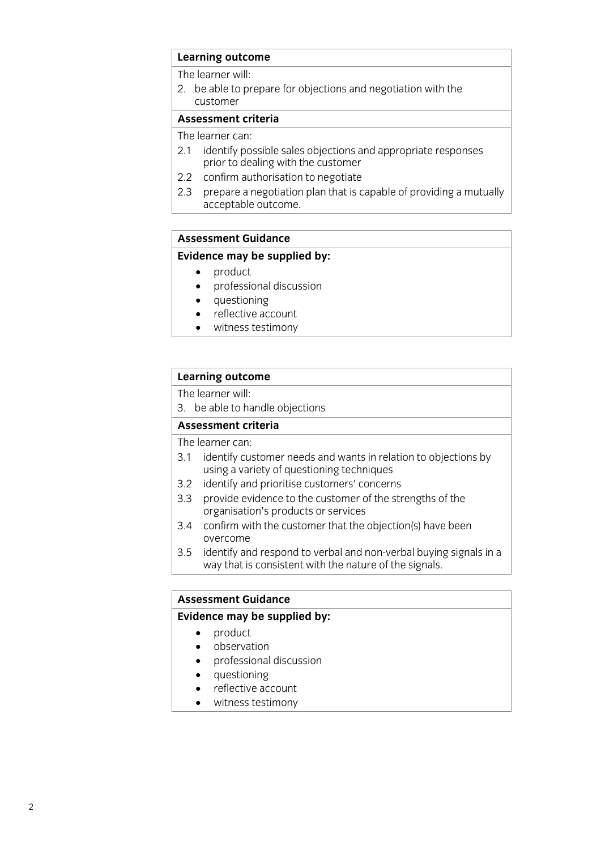## **Learning outcome**<br>The learner will:

2. be able to prepare for objections and negotiation with the customer

### Assessment criteria

The learner can:

- 2.1 identify possible sales objections and appropriate responses prior to dealing with the customer
- $2.2$ confirm authorisation to negotiate
- 2.3 prepare a negotiation plan that is capable of providing a mutually acceptable outcome. acceptable outcome.<br>Acceptable outcome.

### **Assessment Guidance**

### **Evidence may be supplied by:**

- 
- product<br>• product<br>• professional discussion professional discussion
	- questioning
	- reflective account
	- witness testimony

## **Learning outcome**<br>The learner will:

3. be able to handle objections

### Assessment criteria

The learner can:

- 3.1 identify customer needs and wants in relation to objections by using a variety of questioning techniques
- 3.2 identify and prioritise customers' concerns
- 3.3 provide evidence to the customer of the strengths of the organisation's products or services
- 3.4 confirm with the customer that the objection(s) have been overcome
- 3.5 identify and respond to verbal and non-verbal buying signals in a  $\frac{1}{2}$  way that is consistent with the nature of the signals in an  $\frac{1}{\sqrt{2}}$  that is consistent with the signals.

# **Assessment Guidance**

- **Eventual**<br> **Evidence** may be supplied by:<br> **Evidence** may be supplied by:<br> **EVIDENCE** 
	- observation<br>• professional
	- professional discussion<br>• questioning
	- questioning<br>• reflective ac
	- reflective account
	- witness testimony